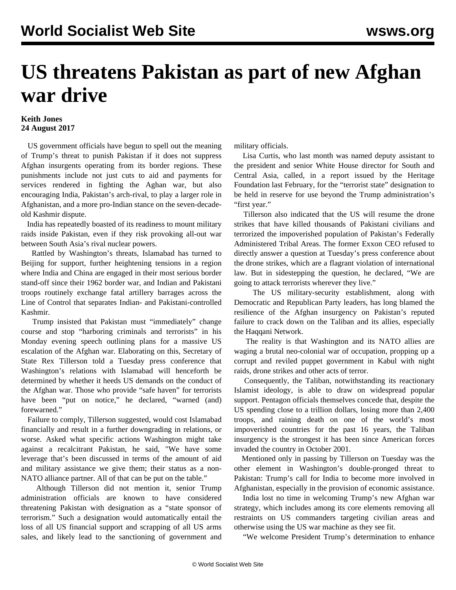## **US threatens Pakistan as part of new Afghan war drive**

## **Keith Jones 24 August 2017**

 US government officials have begun to spell out the meaning of Trump's threat to punish Pakistan if it does not suppress Afghan insurgents operating from its border regions. These punishments include not just cuts to aid and payments for services rendered in fighting the Aghan war, but also encouraging India, Pakistan's arch-rival, to play a larger role in Afghanistan, and a more pro-Indian stance on the seven-decadeold Kashmir dispute.

 India has repeatedly boasted of its readiness to mount military raids inside Pakistan, even if they risk provoking all-out war between South Asia's rival nuclear powers.

 Rattled by Washington's threats, Islamabad has turned to Beijing for support, further heightening tensions in a region where India and China are engaged in their most serious border stand-off since their 1962 border war, and Indian and Pakistani troops routinely exchange fatal artillery barrages across the Line of Control that separates Indian- and Pakistani-controlled Kashmir.

 Trump insisted that Pakistan must "immediately" change course and stop "harboring criminals and terrorists" in his Monday evening speech outlining plans for a massive US escalation of the Afghan war. Elaborating on this, Secretary of State Rex Tillerson told a Tuesday press conference that Washington's relations with Islamabad will henceforth be determined by whether it heeds US demands on the conduct of the Afghan war. Those who provide "safe haven" for terrorists have been "put on notice," he declared, "warned (and) forewarned."

 Failure to comply, Tillerson suggested, would cost Islamabad financially and result in a further downgrading in relations, or worse. Asked what specific actions Washington might take against a recalcitrant Pakistan, he said, "We have some leverage that's been discussed in terms of the amount of aid and military assistance we give them; their status as a non-NATO alliance partner. All of that can be put on the table."

 Although Tillerson did not mention it, senior Trump administration officials are known to have considered threatening Pakistan with designation as a "state sponsor of terrorism." Such a designation would automatically entail the loss of all US financial support and scrapping of all US arms sales, and likely lead to the sanctioning of government and

military officials.

 Lisa Curtis, who last month was named deputy assistant to the president and senior White House director for South and Central Asia, called, in a report issued by the Heritage Foundation last February, for the "terrorist state" designation to be held in reserve for use beyond the Trump administration's "first year."

 Tillerson also indicated that the US will resume the drone strikes that have killed thousands of Pakistani civilians and terrorized the impoverished population of Pakistan's Federally Administered Tribal Areas. The former Exxon CEO refused to directly answer a question at Tuesday's press conference about the drone strikes, which are a flagrant violation of international law. But in sidestepping the question, he declared, "We are going to attack terrorists wherever they live."

 The US military-security establishment, along with Democratic and Republican Party leaders, has long blamed the resilience of the Afghan insurgency on Pakistan's reputed failure to crack down on the Taliban and its allies, especially the Haqqani Network.

 The reality is that Washington and its NATO allies are waging a brutal neo-colonial war of occupation, propping up a corrupt and reviled puppet government in Kabul with night raids, drone strikes and other acts of terror.

 Consequently, the Taliban, notwithstanding its reactionary Islamist ideology, is able to draw on widespread popular support. Pentagon officials themselves concede that, despite the US spending close to a trillion dollars, losing more than 2,400 troops, and raining death on one of the world's most impoverished countries for the past 16 years, the Taliban insurgency is the strongest it has been since American forces invaded the country in October 2001.

 Mentioned only in passing by Tillerson on Tuesday was the other element in Washington's double-pronged threat to Pakistan: Trump's call for India to become more involved in Afghanistan, especially in the provision of economic assistance.

 India lost no time in welcoming Trump's new Afghan war strategy, which includes among its core elements removing all restraints on US commanders targeting civilian areas and otherwise using the US war machine as they see fit.

"We welcome President Trump's determination to enhance